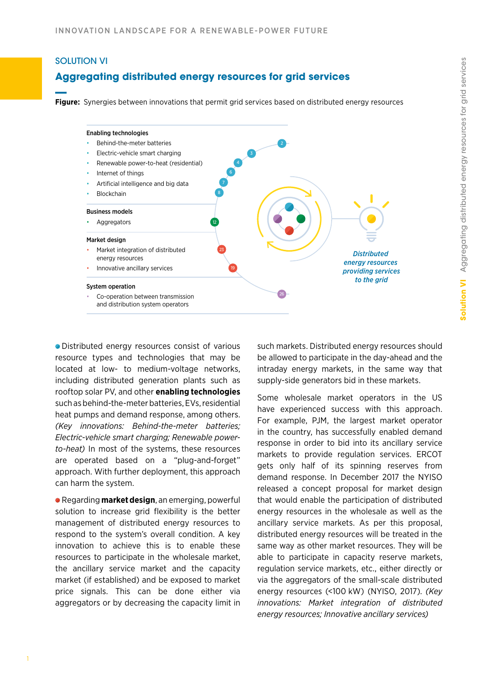# SOLUTION VI

# **Aggregating distributed energy resources for grid services**

**Figure:** Synergies between innovations that permit grid services based on distributed energy resources



Distributed energy resources consist of various resource types and technologies that may be located at low- to medium-voltage networks, including distributed generation plants such as rooftop solar PV, and other **enabling technologies** such as behind-the-meter batteries, EVs, residential heat pumps and demand response, among others. *(Key innovations: Behind-the-meter batteries; Electric-vehicle smart charging; Renewable powerto-heat)* In most of the systems, these resources are operated based on a "plug-and-forget" approach. With further deployment, this approach can harm the system.

Regarding **market design**, an emerging, powerful solution to increase grid flexibility is the better management of distributed energy resources to respond to the system's overall condition. A key innovation to achieve this is to enable these resources to participate in the wholesale market, the ancillary service market and the capacity market (if established) and be exposed to market price signals. This can be done either via aggregators or by decreasing the capacity limit in

such markets. Distributed energy resources should be allowed to participate in the day-ahead and the intraday energy markets, in the same way that supply-side generators bid in these markets.

Some wholesale market operators in the US have experienced success with this approach. For example, PJM, the largest market operator in the country, has successfully enabled demand response in order to bid into its ancillary service markets to provide regulation services. ERCOT gets only half of its spinning reserves from demand response. In December 2017 the NYISO released a concept proposal for market design that would enable the participation of distributed energy resources in the wholesale as well as the ancillary service markets. As per this proposal, distributed energy resources will be treated in the same way as other market resources. They will be able to participate in capacity reserve markets, regulation service markets, etc., either directly or via the aggregators of the small-scale distributed energy resources (<100 kW) (NYISO, 2017). *(Key innovations: Market integration of distributed energy resources; Innovative ancillary services)*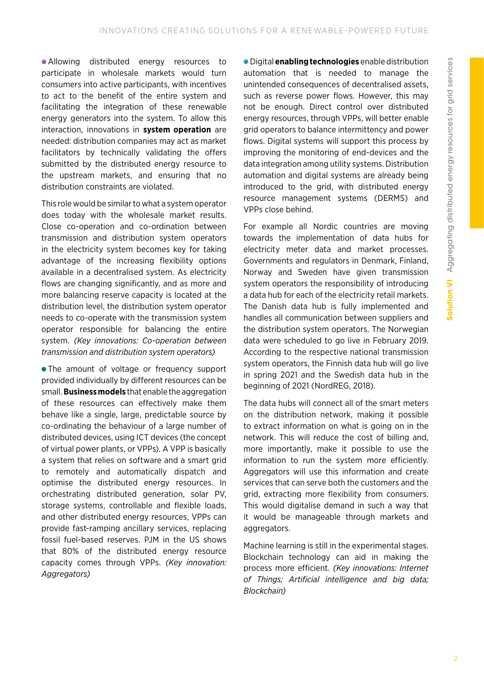Allowing distributed energy resources to participate in wholesale markets would turn consumers into active participants, with incentives to act to the benefit of the entire system and facilitating the integration of these renewable energy generators into the system. To allow this interaction, innovations in **system operation** are needed: distribution companies may act as market facilitators by technically validating the offers submitted by the distributed energy resource to the upstream markets, and ensuring that no distribution constraints are violated.

This role would be similar to what a system operator does today with the wholesale market results. Close co-operation and co-ordination between transmission and distribution system operators in the electricity system becomes key for taking advantage of the increasing flexibility options available in a decentralised system. As electricity flows are changing significantly, and as more and more balancing reserve capacity is located at the distribution level, the distribution system operator needs to co-operate with the transmission system operator responsible for balancing the entire system. *(Key innovations: Co-operation between transmission and distribution system operators)*

• The amount of voltage or frequency support provided individually by different resources can be small. **Business models** that enable the aggregation of these resources can effectively make them behave like a single, large, predictable source by co-ordinating the behaviour of a large number of distributed devices, using ICT devices (the concept of virtual power plants, or VPPs). A VPP is basically a system that relies on software and a smart grid to remotely and automatically dispatch and optimise the distributed energy resources. In orchestrating distributed generation, solar PV, storage systems, controllable and flexible loads, and other distributed energy resources, VPPs can provide fast-ramping ancillary services, replacing fossil fuel-based reserves. PJM in the US shows that 80% of the distributed energy resource capacity comes through VPPs. *(Key innovation: Aggregators)*

Digital **enabling technologies** enable distribution automation that is needed to manage the unintended consequences of decentralised assets, such as reverse power flows. However, this may not be enough. Direct control over distributed energy resources, through VPPs, will better enable grid operators to balance intermittency and power flows. Digital systems will support this process by improving the monitoring of end-devices and the data integration among utility systems. Distribution automation and digital systems are already being introduced to the grid, with distributed energy resource management systems (DERMS) and VPPs close behind.

For example all Nordic countries are moving towards the implementation of data hubs for electricity meter data and market processes. Governments and regulators in Denmark, Finland, Norway and Sweden have given transmission system operators the responsibility of introducing a data hub for each of the electricity retail markets. The Danish data hub is fully implemented and handles all communication between suppliers and the distribution system operators. The Norwegian data were scheduled to go live in February 2019. According to the respective national transmission system operators, the Finnish data hub will go live in spring 2021 and the Swedish data hub in the beginning of 2021 (NordREG, 2018).

The data hubs will connect all of the smart meters on the distribution network, making it possible to extract information on what is going on in the network. This will reduce the cost of billing and, more importantly, make it possible to use the information to run the system more efficiently. Aggregators will use this information and create services that can serve both the customers and the grid, extracting more flexibility from consumers. This would digitalise demand in such a way that it would be manageable through markets and aggregators.

Machine learning is still in the experimental stages. Blockchain technology can aid in making the process more efficient. *(Key innovations: Internet of Things; Artificial intelligence and big data; Blockchain)*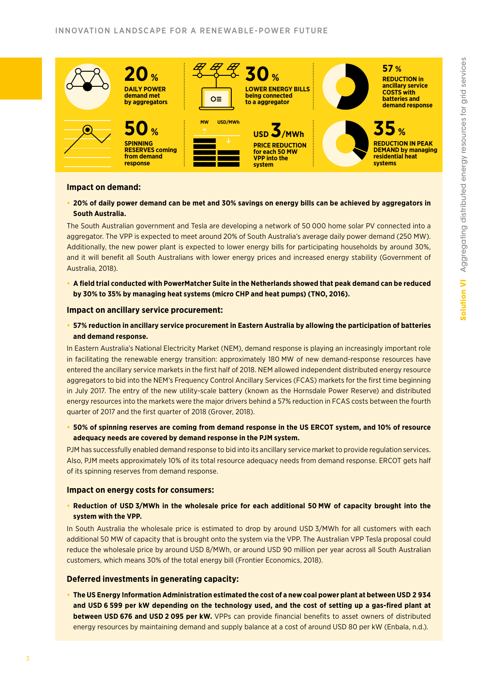

## **Impact on demand:**

**• 20% of daily power demand can be met and 30% savings on energy bills can be achieved by aggregators in South Australia.** 

The South Australian government and Tesla are developing a network of 50 000 home solar PV connected into a aggregator. The VPP is expected to meet around 20% of South Australia's average daily power demand (250 MW). Additionally, the new power plant is expected to lower energy bills for participating households by around 30%, and it will benefit all South Australians with lower energy prices and increased energy stability (Government of Australia, 2018).

**• A field trial conducted with PowerMatcher Suite in the Netherlands showed that peak demand can be reduced by 30% to 35% by managing heat systems (micro CHP and heat pumps) (TNO, 2016).**

### **Impact on ancillary service procurement:**

**• 57% reduction in ancillary service procurement in Eastern Australia by allowing the participation of batteries and demand response.** 

In Eastern Australia's National Electricity Market (NEM), demand response is playing an increasingly important role in facilitating the renewable energy transition: approximately 180 MW of new demand-response resources have entered the ancillary service markets in the first half of 2018. NEM allowed independent distributed energy resource aggregators to bid into the NEM's Frequency Control Ancillary Services (FCAS) markets for the first time beginning in July 2017. The entry of the new utility-scale battery (known as the Hornsdale Power Reserve) and distributed energy resources into the markets were the major drivers behind a 57% reduction in FCAS costs between the fourth quarter of 2017 and the first quarter of 2018 (Grover, 2018).

**• 50% of spinning reserves are coming from demand response in the US ERCOT system, and 10% of resource adequacy needs are covered by demand response in the PJM system.** 

PJM has successfully enabled demand response to bid into its ancillary service market to provide regulation services. Also, PJM meets approximately 10% of its total resource adequacy needs from demand response. ERCOT gets half of its spinning reserves from demand response.

### **Impact on energy costs for consumers:**

**• Reduction of USD 3/MWh in the wholesale price for each additional 50 MW of capacity brought into the system with the VPP.** 

In South Australia the wholesale price is estimated to drop by around USD 3/MWh for all customers with each additional 50 MW of capacity that is brought onto the system via the VPP. The Australian VPP Tesla proposal could reduce the wholesale price by around USD 8/MWh, or around USD 90 million per year across all South Australian customers, which means 30% of the total energy bill (Frontier Economics, 2018).

### **Deferred investments in generating capacity:**

**• The US Energy Information Administration estimated the cost of a new coal power plant at between USD 2 934 and USD 6 599 per kW depending on the technology used, and the cost of setting up a gas-fired plant at between USD 676 and USD 2 095 per kW.** VPPs can provide financial benefits to asset owners of distributed energy resources by maintaining demand and supply balance at a cost of around USD 80 per kW (Enbala, n.d.).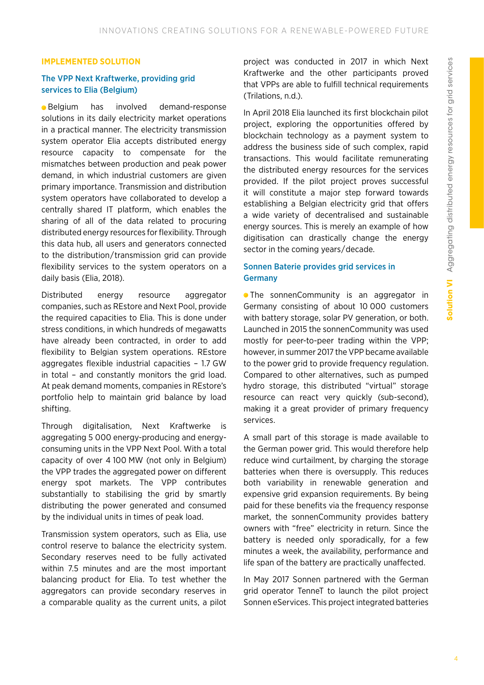### **IMPLEMENTED SOLUTION**

## The VPP Next Kraftwerke, providing grid services to Elia (Belgium)

**Belgium** has involved demand-response solutions in its daily electricity market operations in a practical manner. The electricity transmission system operator Elia accepts distributed energy resource capacity to compensate for the mismatches between production and peak power demand, in which industrial customers are given primary importance. Transmission and distribution system operators have collaborated to develop a centrally shared IT platform, which enables the sharing of all of the data related to procuring distributed energy resources for flexibility. Through this data hub, all users and generators connected to the distribution / transmission grid can provide flexibility services to the system operators on a daily basis (Elia, 2018).

Distributed energy resource aggregator companies, such as REstore and Next Pool, provide the required capacities to Elia. This is done under stress conditions, in which hundreds of megawatts have already been contracted, in order to add flexibility to Belgian system operations. REstore aggregates flexible industrial capacities – 1.7 GW in total – and constantly monitors the grid load. At peak demand moments, companies in REstore's portfolio help to maintain grid balance by load shifting.

Through digitalisation, Next Kraftwerke is aggregating 5 000 energy-producing and energyconsuming units in the VPP Next Pool. With a total capacity of over 4 100 MW (not only in Belgium) the VPP trades the aggregated power on different energy spot markets. The VPP contributes substantially to stabilising the grid by smartly distributing the power generated and consumed by the individual units in times of peak load.

Transmission system operators, such as Elia, use control reserve to balance the electricity system. Secondary reserves need to be fully activated within 7.5 minutes and are the most important balancing product for Elia. To test whether the aggregators can provide secondary reserves in a comparable quality as the current units, a pilot project was conducted in 2017 in which Next Kraftwerke and the other participants proved that VPPs are able to fulfill technical requirements (Trilations, n.d.).

In April 2018 Elia launched its first blockchain pilot project, exploring the opportunities offered by blockchain technology as a payment system to address the business side of such complex, rapid transactions. This would facilitate remunerating the distributed energy resources for the services provided. If the pilot project proves successful it will constitute a major step forward towards establishing a Belgian electricity grid that offers a wide variety of decentralised and sustainable energy sources. This is merely an example of how digitisation can drastically change the energy sector in the coming years/decade.

# Sonnen Baterie provides grid services in Germany

**• The sonnenCommunity is an aggregator in** Germany consisting of about 10 000 customers with battery storage, solar PV generation, or both. Launched in 2015 the sonnenCommunity was used mostly for peer-to-peer trading within the VPP; however, in summer 2017 the VPP became available to the power grid to provide frequency regulation. Compared to other alternatives, such as pumped hydro storage, this distributed "virtual" storage resource can react very quickly (sub-second), making it a great provider of primary frequency services.

A small part of this storage is made available to the German power grid. This would therefore help reduce wind curtailment, by charging the storage batteries when there is oversupply. This reduces both variability in renewable generation and expensive grid expansion requirements. By being paid for these benefits via the frequency response market, the sonnenCommunity provides battery owners with "free" electricity in return. Since the battery is needed only sporadically, for a few minutes a week, the availability, performance and life span of the battery are practically unaffected.

In May 2017 Sonnen partnered with the German grid operator TenneT to launch the pilot project Sonnen eServices. This project integrated batteries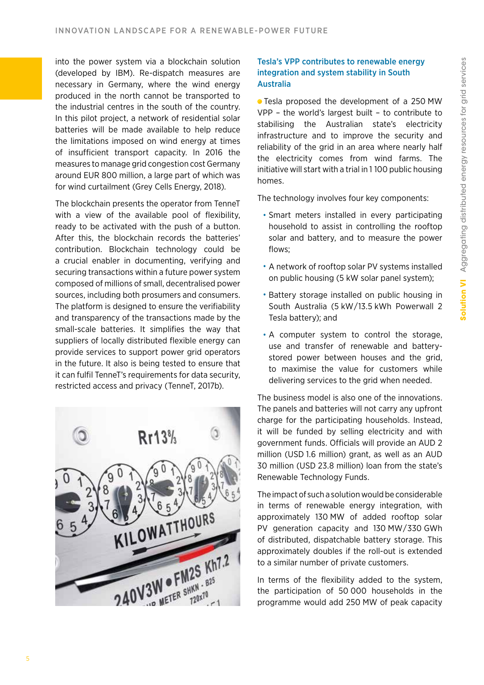into the power system via a blockchain solution (developed by IBM). Re-dispatch measures are necessary in Germany, where the wind energy produced in the north cannot be transported to the industrial centres in the south of the country. In this pilot project, a network of residential solar batteries will be made available to help reduce the limitations imposed on wind energy at times of insufficient transport capacity. In 2016 the measures to manage grid congestion cost Germany around EUR 800 million, a large part of which was for wind curtailment (Grey Cells Energy, 2018).

The blockchain presents the operator from TenneT with a view of the available pool of flexibility, ready to be activated with the push of a button. After this, the blockchain records the batteries' contribution. Blockchain technology could be a crucial enabler in documenting, verifying and securing transactions within a future power system composed of millions of small, decentralised power sources, including both prosumers and consumers. The platform is designed to ensure the verifiability and transparency of the transactions made by the small-scale batteries. It simplifies the way that suppliers of locally distributed flexible energy can provide services to support power grid operators in the future. It also is being tested to ensure that it can fulfil TenneT's requirements for data security, restricted access and privacy (TenneT, 2017b).



# Tesla's VPP contributes to renewable energy integration and system stability in South Australia

Tesla proposed the development of a 250 MW VPP – the world's largest built – to contribute to stabilising the Australian state's electricity infrastructure and to improve the security and reliability of the grid in an area where nearly half the electricity comes from wind farms. The initiative will start with a trial in 1 100 public housing homes.

The technology involves four key components:

- **•** Smart meters installed in every participating household to assist in controlling the rooftop solar and battery, and to measure the power flows;
- **•** A network of rooftop solar PV systems installed on public housing (5 kW solar panel system);
- **•** Battery storage installed on public housing in South Australia (5 kW/13.5 kWh Powerwall 2 Tesla battery); and
- **•** A computer system to control the storage, use and transfer of renewable and batterystored power between houses and the grid, to maximise the value for customers while delivering services to the grid when needed.

The business model is also one of the innovations. The panels and batteries will not carry any upfront charge for the participating households. Instead, it will be funded by selling electricity and with government funds. Officials will provide an AUD 2 million (USD 1.6 million) grant, as well as an AUD 30 million (USD 23.8 million) loan from the state's Renewable Technology Funds.

The impact of such a solution would be considerable in terms of renewable energy integration, with approximately 130 MW of added rooftop solar PV generation capacity and 130 MW/330 GWh of distributed, dispatchable battery storage. This approximately doubles if the roll-out is extended to a similar number of private customers.

In terms of the flexibility added to the system, the participation of 50 000 households in the programme would add 250 MW of peak capacity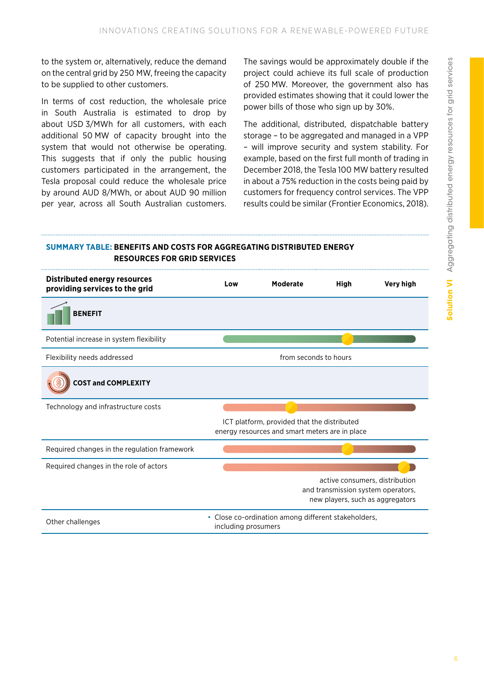to the system or, alternatively, reduce the demand on the central grid by 250 MW, freeing the capacity to be supplied to other customers.

In terms of cost reduction, the wholesale price in South Australia is estimated to drop by about USD 3/MWh for all customers, with each additional 50 MW of capacity brought into the system that would not otherwise be operating. This suggests that if only the public housing customers participated in the arrangement, the Tesla proposal could reduce the wholesale price by around AUD 8/MWh, or about AUD 90 million per year, across all South Australian customers.

The savings would be approximately double if the project could achieve its full scale of production of 250 MW. Moreover, the government also has provided estimates showing that it could lower the power bills of those who sign up by 30%.

The additional, distributed, dispatchable battery storage – to be aggregated and managed in a VPP – will improve security and system stability. For example, based on the first full month of trading in December 2018, the Tesla 100 MW battery resulted in about a 75% reduction in the costs being paid by customers for frequency control services. The VPP results could be similar (Frontier Economics, 2018).

# **SUMMARY TABLE: BENEFITS AND COSTS FOR AGGREGATING DISTRIBUTED ENERGY RESOURCES FOR GRID SERVICES**

| <b>Distributed energy resources</b><br>providing services to the grid | Low                                                                                           | Moderate | High                                                                                                     | Very high |
|-----------------------------------------------------------------------|-----------------------------------------------------------------------------------------------|----------|----------------------------------------------------------------------------------------------------------|-----------|
| <b>BENEFIT</b>                                                        |                                                                                               |          |                                                                                                          |           |
| Potential increase in system flexibility                              |                                                                                               |          |                                                                                                          |           |
| Flexibility needs addressed                                           | from seconds to hours                                                                         |          |                                                                                                          |           |
| <b>COST and COMPLEXITY</b>                                            |                                                                                               |          |                                                                                                          |           |
| Technology and infrastructure costs                                   |                                                                                               |          |                                                                                                          |           |
|                                                                       | ICT platform, provided that the distributed<br>energy resources and smart meters are in place |          |                                                                                                          |           |
| Required changes in the regulation framework                          |                                                                                               |          |                                                                                                          |           |
| Required changes in the role of actors                                |                                                                                               |          |                                                                                                          |           |
|                                                                       |                                                                                               |          | active consumers, distribution<br>and transmission system operators,<br>new players, such as aggregators |           |
| Other challenges                                                      | • Close co-ordination among different stakeholders,<br>including prosumers                    |          |                                                                                                          |           |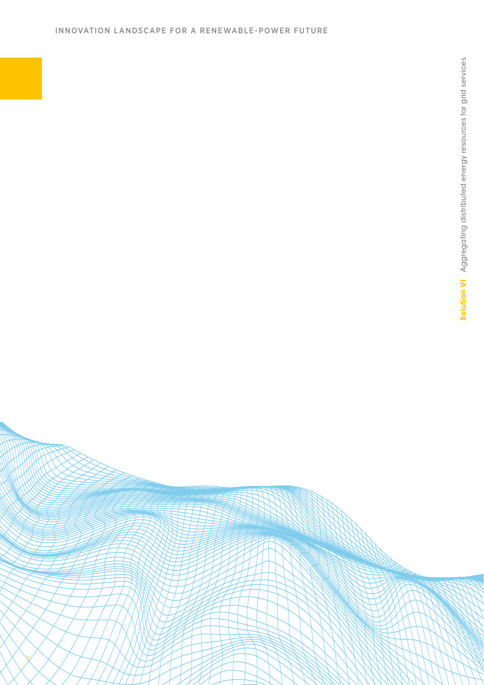7